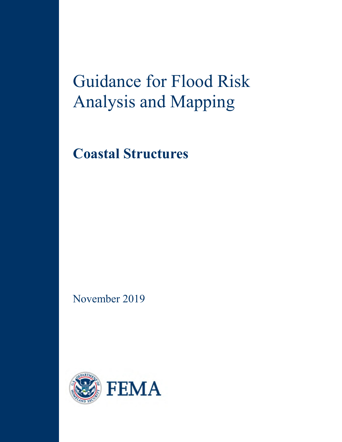# Guidance for Flood Risk Analysis and Mapping

**Coastal Structures**

November 2019

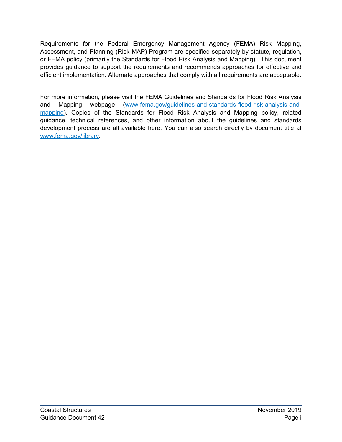Requirements for the Federal Emergency Management Agency (FEMA) Risk Mapping, Assessment, and Planning (Risk MAP) Program are specified separately by statute, regulation, or FEMA policy (primarily the Standards for Flood Risk Analysis and Mapping). This document provides guidance to support the requirements and recommends approaches for effective and efficient implementation. Alternate approaches that comply with all requirements are acceptable.

For more information, please visit the FEMA Guidelines and Standards for Flood Risk Analysis and Mapping webpage [\(www.fema.gov/guidelines-and-standards-flood-risk-analysis-and](http://www.fema.gov/guidelines-and-standards-flood-risk-analysis-and-mapping)[mapping\)](http://www.fema.gov/guidelines-and-standards-flood-risk-analysis-and-mapping). Copies of the Standards for Flood Risk Analysis and Mapping policy, related guidance, technical references, and other information about the guidelines and standards development process are all available here. You can also search directly by document title at [www.fema.gov/library.](http://www.fema.gov/library)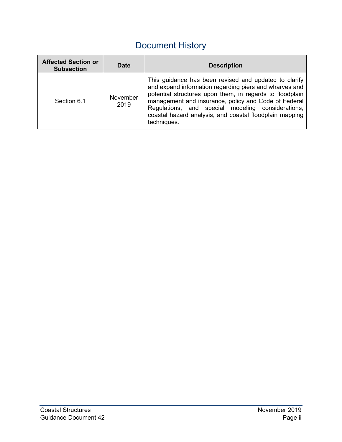# Document History

| <b>Affected Section or</b><br><b>Subsection</b> | <b>Date</b>      | <b>Description</b>                                                                                                                                                                                                                                                                                                                                                 |
|-------------------------------------------------|------------------|--------------------------------------------------------------------------------------------------------------------------------------------------------------------------------------------------------------------------------------------------------------------------------------------------------------------------------------------------------------------|
| Section 6.1                                     | November<br>2019 | This guidance has been revised and updated to clarify<br>and expand information regarding piers and wharves and<br>potential structures upon them, in regards to floodplain<br>management and insurance, policy and Code of Federal<br>Regulations, and special modeling considerations,<br>coastal hazard analysis, and coastal floodplain mapping<br>techniques. |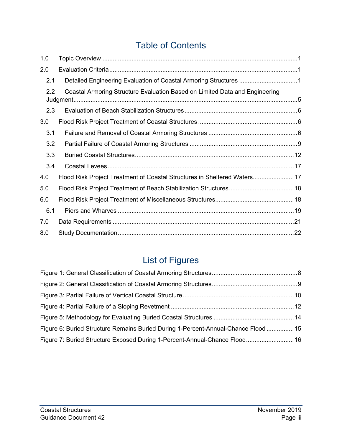# Table of Contents

| 1.0 |                                                                             |  |
|-----|-----------------------------------------------------------------------------|--|
| 2.0 |                                                                             |  |
| 2.1 |                                                                             |  |
| 2.2 | Coastal Armoring Structure Evaluation Based on Limited Data and Engineering |  |
| 2.3 |                                                                             |  |
| 3.0 |                                                                             |  |
| 3.1 |                                                                             |  |
| 3.2 |                                                                             |  |
| 3.3 |                                                                             |  |
| 3.4 |                                                                             |  |
| 4.0 | Flood Risk Project Treatment of Coastal Structures in Sheltered Waters17    |  |
| 5.0 |                                                                             |  |
| 6.0 |                                                                             |  |
| 6.1 |                                                                             |  |
| 7.0 |                                                                             |  |
| 8.0 |                                                                             |  |

# List of Figures

| Figure 6: Buried Structure Remains Buried During 1-Percent-Annual-Chance Flood  15 |  |
|------------------------------------------------------------------------------------|--|
| Figure 7: Buried Structure Exposed During 1-Percent-Annual-Chance Flood 16         |  |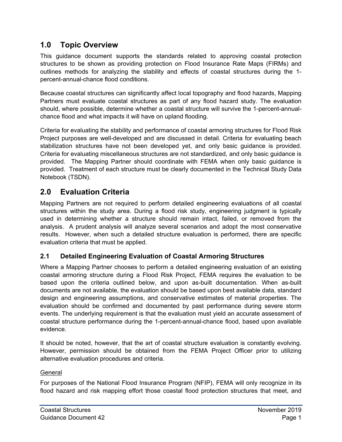# <span id="page-4-0"></span>**1.0 Topic Overview**

This guidance document supports the standards related to approving coastal protection structures to be shown as providing protection on Flood Insurance Rate Maps (FIRMs) and outlines methods for analyzing the stability and effects of coastal structures during the 1 percent-annual-chance flood conditions.

Because coastal structures can significantly affect local topography and flood hazards, Mapping Partners must evaluate coastal structures as part of any flood hazard study. The evaluation should, where possible, determine whether a coastal structure will survive the 1-percent-annualchance flood and what impacts it will have on upland flooding.

Criteria for evaluating the stability and performance of coastal armoring structures for Flood Risk Project purposes are well-developed and are discussed in detail. Criteria for evaluating beach stabilization structures have not been developed yet, and only basic guidance is provided. Criteria for evaluating miscellaneous structures are not standardized, and only basic guidance is provided. The Mapping Partner should coordinate with FEMA when only basic guidance is provided. Treatment of each structure must be clearly documented in the Technical Study Data Notebook (TSDN).

# **2.0 Evaluation Criteria**

Mapping Partners are not required to perform detailed engineering evaluations of all coastal structures within the study area. During a flood risk study, engineering judgment is typically used in determining whether a structure should remain intact, failed, or removed from the analysis. A prudent analysis will analyze several scenarios and adopt the most conservative results. However, when such a detailed structure evaluation is performed, there are specific evaluation criteria that must be applied.

## **2.1 Detailed Engineering Evaluation of Coastal Armoring Structures**

Where a Mapping Partner chooses to perform a detailed engineering evaluation of an existing coastal armoring structure during a Flood Risk Project, FEMA requires the evaluation to be based upon the criteria outlined below, and upon as-built documentation. When as-built documents are not available, the evaluation should be based upon best available data, standard design and engineering assumptions, and conservative estimates of material properties. The evaluation should be confirmed and documented by past performance during severe storm events. The underlying requirement is that the evaluation must yield an accurate assessment of coastal structure performance during the 1-percent-annual-chance flood, based upon available evidence.

It should be noted, however, that the art of coastal structure evaluation is constantly evolving. However, permission should be obtained from the FEMA Project Officer prior to utilizing alternative evaluation procedures and criteria.

#### General

For purposes of the National Flood Insurance Program (NFIP), FEMA will only recognize in its flood hazard and risk mapping effort those coastal flood protection structures that meet, and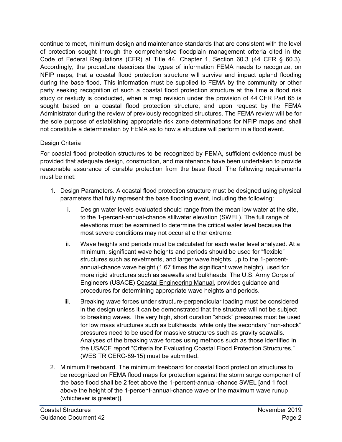continue to meet, minimum design and maintenance standards that are consistent with the level of protection sought through the comprehensive floodplain management criteria cited in the Code of Federal Regulations (CFR) at Title 44, Chapter 1, Section 60.3 (44 CFR § 60.3). Accordingly, the procedure describes the types of information FEMA needs to recognize, on NFIP maps, that a coastal flood protection structure will survive and impact upland flooding during the base flood. This information must be supplied to FEMA by the community or other party seeking recognition of such a coastal flood protection structure at the time a flood risk study or restudy is conducted, when a map revision under the provision of 44 CFR Part 65 is sought based on a coastal flood protection structure, and upon request by the FEMA Administrator during the review of previously recognized structures. The FEMA review will be for the sole purpose of establishing appropriate risk zone determinations for NFIP maps and shall not constitute a determination by FEMA as to how a structure will perform in a flood event.

#### Design Criteria

For coastal flood protection structures to be recognized by FEMA, sufficient evidence must be provided that adequate design, construction, and maintenance have been undertaken to provide reasonable assurance of durable protection from the base flood. The following requirements must be met:

- 1. Design Parameters. A coastal flood protection structure must be designed using physical parameters that fully represent the base flooding event, including the following:
	- i. Design water levels evaluated should range from the mean low water at the site, to the 1-percent-annual-chance stillwater elevation (SWEL). The full range of elevations must be examined to determine the critical water level because the most severe conditions may not occur at either extreme.
	- ii. Wave heights and periods must be calculated for each water level analyzed. At a minimum, significant wave heights and periods should be used for "flexible" structures such as revetments, and larger wave heights, up to the 1-percentannual-chance wave height (1.67 times the significant wave height), used for more rigid structures such as seawalls and bulkheads. The U.S. Army Corps of Engineers (USACE) Coastal Engineering Manual, provides guidance and procedures for determining appropriate wave heights and periods.
	- iii. Breaking wave forces under structure-perpendicular loading must be considered in the design unless it can be demonstrated that the structure will not be subject to breaking waves. The very high, short duration "shock" pressures must be used for low mass structures such as bulkheads, while only the secondary "non-shock" pressures need to be used for massive structures such as gravity seawalls. Analyses of the breaking wave forces using methods such as those identified in the USACE report "Criteria for Evaluating Coastal Flood Protection Structures," (WES TR CERC-89-15) must be submitted.
- 2. Minimum Freeboard. The minimum freeboard for coastal flood protection structures to be recognized on FEMA flood maps for protection against the storm surge component of the base flood shall be 2 feet above the 1-percent-annual-chance SWEL [and 1 foot above the height of the 1-percent-annual-chance wave or the maximum wave runup (whichever is greater)].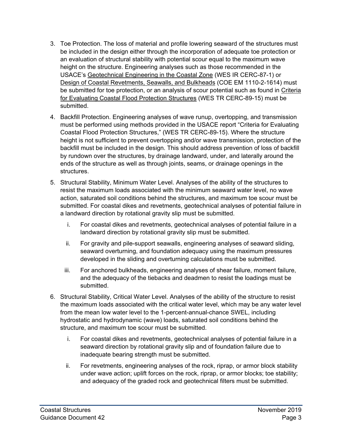- 3. Toe Protection. The loss of material and profile lowering seaward of the structures must be included in the design either through the incorporation of adequate toe protection or an evaluation of structural stability with potential scour equal to the maximum wave height on the structure. Engineering analyses such as those recommended in the USACE's Geotechnical Engineering in the Coastal Zone (WES IR CERC-87-1) or Design of Coastal Revetments, Seawalls, and Bulkheads (COE EM 1110-2-1614) must be submitted for toe protection, or an analysis of scour potential such as found in Criteria for Evaluating Coastal Flood Protection Structures (WES TR CERC-89-15) must be submitted.
- 4. Backfill Protection. Engineering analyses of wave runup, overtopping, and transmission must be performed using methods provided in the USACE report "Criteria for Evaluating Coastal Flood Protection Structures," (WES TR CERC-89-15). Where the structure height is not sufficient to prevent overtopping and/or wave transmission, protection of the backfill must be included in the design. This should address prevention of loss of backfill by rundown over the structures, by drainage landward, under, and laterally around the ends of the structure as well as through joints, seams, or drainage openings in the structures.
- 5. Structural Stability, Minimum Water Level. Analyses of the ability of the structures to resist the maximum loads associated with the minimum seaward water level, no wave action, saturated soil conditions behind the structures, and maximum toe scour must be submitted. For coastal dikes and revetments, geotechnical analyses of potential failure in a landward direction by rotational gravity slip must be submitted.
	- i. For coastal dikes and revetments, geotechnical analyses of potential failure in a landward direction by rotational gravity slip must be submitted.
	- ii. For gravity and pile-support seawalls, engineering analyses of seaward sliding, seaward overturning, and foundation adequacy using the maximum pressures developed in the sliding and overturning calculations must be submitted.
	- iii. For anchored bulkheads, engineering analyses of shear failure, moment failure, and the adequacy of the tiebacks and deadmen to resist the loadings must be submitted.
- 6. Structural Stability, Critical Water Level. Analyses of the ability of the structure to resist the maximum loads associated with the critical water level, which may be any water level from the mean low water level to the 1-percent-annual-chance SWEL, including hydrostatic and hydrodynamic (wave) loads, saturated soil conditions behind the structure, and maximum toe scour must be submitted.
	- i. For coastal dikes and revetments, geotechnical analyses of potential failure in a seaward direction by rotational gravity slip and of foundation failure due to inadequate bearing strength must be submitted.
	- ii. For revetments, engineering analyses of the rock, riprap, or armor block stability under wave action; uplift forces on the rock, riprap, or armor blocks; toe stability; and adequacy of the graded rock and geotechnical filters must be submitted.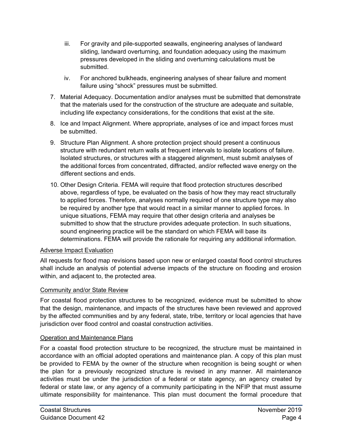- iii. For gravity and pile-supported seawalls, engineering analyses of landward sliding, landward overturning, and foundation adequacy using the maximum pressures developed in the sliding and overturning calculations must be submitted.
- iv. For anchored bulkheads, engineering analyses of shear failure and moment failure using "shock" pressures must be submitted.
- 7. Material Adequacy. Documentation and/or analyses must be submitted that demonstrate that the materials used for the construction of the structure are adequate and suitable, including life expectancy considerations, for the conditions that exist at the site.
- 8. Ice and Impact Alignment. Where appropriate, analyses of ice and impact forces must be submitted.
- 9. Structure Plan Alignment. A shore protection project should present a continuous structure with redundant return walls at frequent intervals to isolate locations of failure. Isolated structures, or structures with a staggered alignment, must submit analyses of the additional forces from concentrated, diffracted, and/or reflected wave energy on the different sections and ends.
- 10. Other Design Criteria. FEMA will require that flood protection structures described above, regardless of type, be evaluated on the basis of how they may react structurally to applied forces. Therefore, analyses normally required of one structure type may also be required by another type that would react in a similar manner to applied forces. In unique situations, FEMA may require that other design criteria and analyses be submitted to show that the structure provides adequate protection. In such situations, sound engineering practice will be the standard on which FEMA will base its determinations. FEMA will provide the rationale for requiring any additional information.

#### Adverse Impact Evaluation

All requests for flood map revisions based upon new or enlarged coastal flood control structures shall include an analysis of potential adverse impacts of the structure on flooding and erosion within, and adjacent to, the protected area.

#### Community and/or State Review

For coastal flood protection structures to be recognized, evidence must be submitted to show that the design, maintenance, and impacts of the structures have been reviewed and approved by the affected communities and by any federal, state, tribe, territory or local agencies that have jurisdiction over flood control and coastal construction activities.

#### **Operation and Maintenance Plans**

For a coastal flood protection structure to be recognized, the structure must be maintained in accordance with an official adopted operations and maintenance plan. A copy of this plan must be provided to FEMA by the owner of the structure when recognition is being sought or when the plan for a previously recognized structure is revised in any manner. All maintenance activities must be under the jurisdiction of a federal or state agency, an agency created by federal or state law, or any agency of a community participating in the NFIP that must assume ultimate responsibility for maintenance. This plan must document the formal procedure that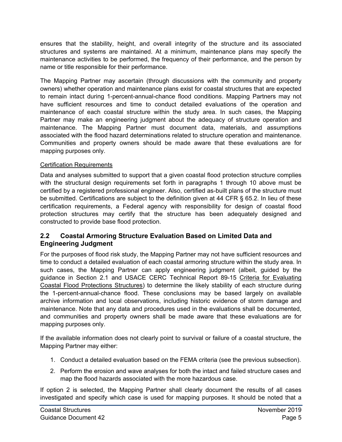<span id="page-8-0"></span>ensures that the stability, height, and overall integrity of the structure and its associated structures and systems are maintained. At a minimum, maintenance plans may specify the maintenance activities to be performed, the frequency of their performance, and the person by name or title responsible for their performance.

The Mapping Partner may ascertain (through discussions with the community and property owners) whether operation and maintenance plans exist for coastal structures that are expected to remain intact during 1-percent-annual-chance flood conditions. Mapping Partners may not have sufficient resources and time to conduct detailed evaluations of the operation and maintenance of each coastal structure within the study area. In such cases, the Mapping Partner may make an engineering judgment about the adequacy of structure operation and maintenance. The Mapping Partner must document data, materials, and assumptions associated with the flood hazard determinations related to structure operation and maintenance. Communities and property owners should be made aware that these evaluations are for mapping purposes only.

#### Certification Requirements

Data and analyses submitted to support that a given coastal flood protection structure complies with the structural design requirements set forth in paragraphs 1 through 10 above must be certified by a registered professional engineer. Also, certified as-built plans of the structure must be submitted. Certifications are subject to the definition given at 44 CFR § 65.2. In lieu of these certification requirements, a Federal agency with responsibility for design of coastal flood protection structures may certify that the structure has been adequately designed and constructed to provide base flood protection.

#### **2.2 Coastal Armoring Structure Evaluation Based on Limited Data and Engineering Judgment**

For the purposes of flood risk study, the Mapping Partner may not have sufficient resources and time to conduct a detailed evaluation of each coastal armoring structure within the study area. In such cases, the Mapping Partner can apply engineering judgment (albeit, guided by the guidance in Section 2.1 and USACE CERC Technical Report 89-15 Criteria for Evaluating Coastal Flood Protections Structures) to determine the likely stability of each structure during the 1-percent-annual-chance flood. These conclusions may be based largely on available archive information and local observations, including historic evidence of storm damage and maintenance. Note that any data and procedures used in the evaluations shall be documented, and communities and property owners shall be made aware that these evaluations are for mapping purposes only.

If the available information does not clearly point to survival or failure of a coastal structure, the Mapping Partner may either:

- 1. Conduct a detailed evaluation based on the FEMA criteria (see the previous subsection).
- 2. Perform the erosion and wave analyses for both the intact and failed structure cases and map the flood hazards associated with the more hazardous case.

If option 2 is selected, the Mapping Partner shall clearly document the results of all cases investigated and specify which case is used for mapping purposes. It should be noted that a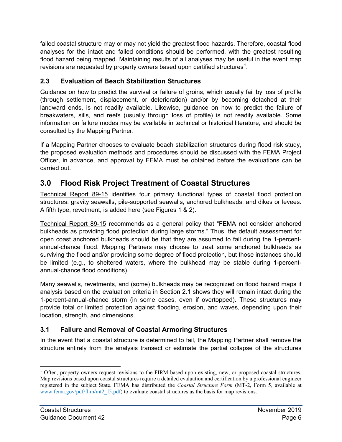<span id="page-9-0"></span>failed coastal structure may or may not yield the greatest flood hazards. Therefore, coastal flood analyses for the intact and failed conditions should be performed, with the greatest resulting flood hazard being mapped. Maintaining results of all analyses may be useful in the event map revisions are requested by property owners based upon certified structures $^{\rm 1}.$  $^{\rm 1}.$  $^{\rm 1}.$ 

# **2.3 Evaluation of Beach Stabilization Structures**

Guidance on how to predict the survival or failure of groins, which usually fail by loss of profile (through settlement, displacement, or deterioration) and/or by becoming detached at their landward ends, is not readily available. Likewise, guidance on how to predict the failure of breakwaters, sills, and reefs (usually through loss of profile) is not readily available. Some information on failure modes may be available in technical or historical literature, and should be consulted by the Mapping Partner.

If a Mapping Partner chooses to evaluate beach stabilization structures during flood risk study, the proposed evaluation methods and procedures should be discussed with the FEMA Project Officer, in advance, and approval by FEMA must be obtained before the evaluations can be carried out.

# **3.0 Flood Risk Project Treatment of Coastal Structures**

Technical Report 89-15 identifies four primary functional types of coastal flood protection structures: gravity seawalls, pile-supported seawalls, anchored bulkheads, and dikes or levees. A fifth type, revetment, is added here (see Figures 1 & 2).

Technical Report 89-15 recommends as a general policy that "FEMA not consider anchored bulkheads as providing flood protection during large storms." Thus, the default assessment for open coast anchored bulkheads should be that they are assumed to fail during the 1-percentannual-chance flood. Mapping Partners may choose to treat some anchored bulkheads as surviving the flood and/or providing some degree of flood protection, but those instances should be limited (e.g., to sheltered waters, where the bulkhead may be stable during 1-percentannual-chance flood conditions).

Many seawalls, revetments, and (some) bulkheads may be recognized on flood hazard maps if analysis based on the evaluation criteria in Section 2.1 shows they will remain intact during the 1-percent-annual-chance storm (in some cases, even if overtopped). These structures may provide total or limited protection against flooding, erosion, and waves, depending upon their location, strength, and dimensions.

## **3.1 Failure and Removal of Coastal Armoring Structures**

In the event that a coastal structure is determined to fail, the Mapping Partner shall remove the structure entirely from the analysis transect or estimate the partial collapse of the structures

<span id="page-9-1"></span> $\ddot{\phantom{a}}$  $1$  Often, property owners request revisions to the FIRM based upon existing, new, or proposed coastal structures. Map revisions based upon coastal structures require a detailed evaluation and certification by a professional engineer registered in the subject State. FEMA has distributed the *Coastal Structure Form* (MT-2, Form 5, available at [www.fema.gov/pdf/fhm/mt2\\_f5.pdf\)](http://www.fema.gov/pdf/fhm/mt2_f5.pdf) to evaluate coastal structures as the basis for map revisions.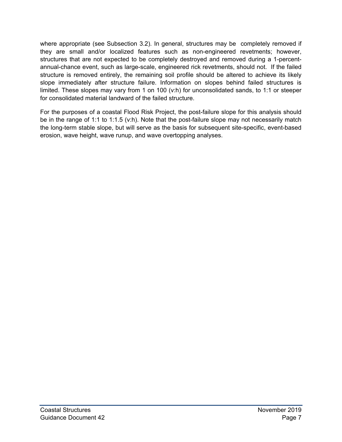<span id="page-10-0"></span>where appropriate (see Subsection 3.2). In general, structures may be completely removed if they are small and/or localized features such as non-engineered revetments; however, structures that are not expected to be completely destroyed and removed during a 1-percentannual-chance event, such as large-scale, engineered rick revetments, should not. If the failed structure is removed entirely, the remaining soil profile should be altered to achieve its likely slope immediately after structure failure. Information on slopes behind failed structures is limited. These slopes may vary from 1 on 100 (v:h) for unconsolidated sands, to 1:1 or steeper for consolidated material landward of the failed structure.

For the purposes of a coastal Flood Risk Project, the post-failure slope for this analysis should be in the range of 1:1 to 1:1.5 (v:h). Note that the post-failure slope may not necessarily match the long-term stable slope, but will serve as the basis for subsequent site-specific, event-based erosion, wave height, wave runup, and wave overtopping analyses.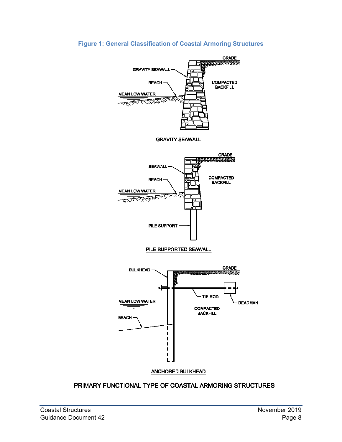#### <span id="page-11-0"></span>**Figure 1: General Classification of Coastal Armoring Structures**



## PRIMARY FUNCTIONAL TYPE OF COASTAL ARMORING STRUCTURES

#### **ANCHORED BULKHEAD**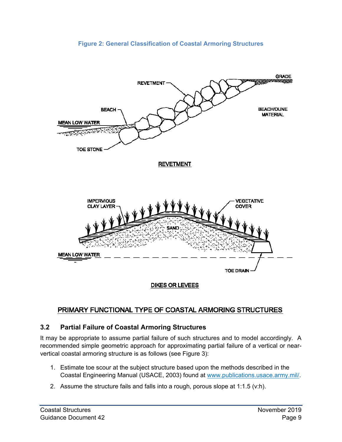<span id="page-12-0"></span>

#### **Figure 2: General Classification of Coastal Armoring Structures**

# PRIMARY FUNCTIONAL TYPE OF COASTAL ARMORING STRUCTURES

## **3.2 Partial Failure of Coastal Armoring Structures**

It may be appropriate to assume partial failure of such structures and to model accordingly. A recommended simple geometric approach for approximating partial failure of a vertical or nearvertical coastal armoring structure is as follows (see [Figure 3\)](#page-13-1):

- 1. Estimate toe scour at the subject structure based upon the methods described in the Coastal Engineering Manual (USACE, 2003) [found at www.publications.usace.army.mil/.](http://www.publications.usace.army.mil/)
- 2. Assume the structure fails and falls into a rough, porous slope at 1:1.5 (v:h).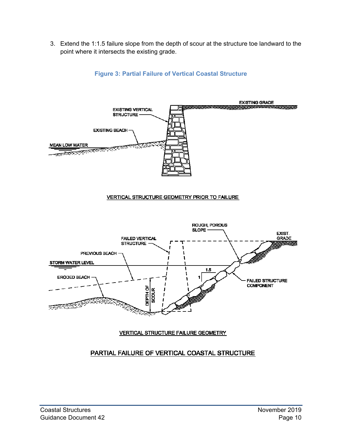<span id="page-13-0"></span>3. Extend the 1:1.5 failure slope from the depth of scour at the structure toe landward to the point where it intersects the existing grade.

<span id="page-13-1"></span>

#### **Figure 3: Partial Failure of Vertical Coastal Structure**

#### VERTICAL STRUCTURE GEOMETRY PRIOR TO FAILURE



#### **VERTICAL STRUCTURE FAILURE GEOMETRY**

#### PARTIAL FAILURE OF VERTICAL COASTAL STRUCTURE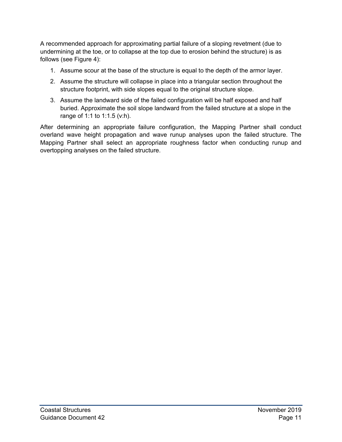A recommended approach for approximating partial failure of a sloping revetment (due to undermining at the toe, or to collapse at the top due to erosion behind the structure) is as follows (see [Figure 4\)](#page-15-1):

- 1. Assume scour at the base of the structure is equal to the depth of the armor layer.
- 2. Assume the structure will collapse in place into a triangular section throughout the structure footprint, with side slopes equal to the original structure slope.
- 3. Assume the landward side of the failed configuration will be half exposed and half buried. Approximate the soil slope landward from the failed structure at a slope in the range of 1:1 to 1:1.5 (v:h).

After determining an appropriate failure configuration, the Mapping Partner shall conduct overland wave height propagation and wave runup analyses upon the failed structure. The Mapping Partner shall select an appropriate roughness factor when conducting runup and overtopping analyses on the failed structure.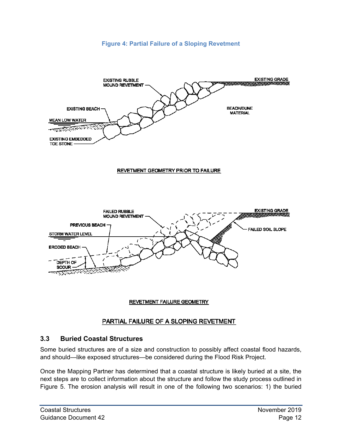#### **Figure 4: Partial Failure of a Sloping Revetment**

<span id="page-15-1"></span><span id="page-15-0"></span>



#### **REVETMENT FAILURE GEOMETRY**

#### PARTIAL FAILURE OF A SLOPING REVETMENT

#### **3.3 Buried Coastal Structures**

Some buried structures are of a size and construction to possibly affect coastal flood hazards, and should—like exposed structures—be considered during the Flood Risk Project.

Once the Mapping Partner has determined that a coastal structure is likely buried at a site, the next steps are to collect information about the structure and follow the study process outlined in [Figure 5.](#page-17-1) The erosion analysis will result in one of the following two scenarios: 1) the buried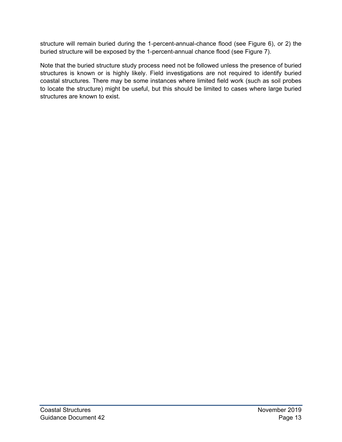<span id="page-16-0"></span>structure will remain buried during the 1-percent-annual-chance flood (see [Figure 6\)](#page-18-1), or 2) the buried structure will be exposed by the 1-percent-annual chance flood (see [Figure 7\)](#page-19-1).

Note that the buried structure study process need not be followed unless the presence of buried structures is known or is highly likely. Field investigations are not required to identify buried coastal structures. There may be some instances where limited field work (such as soil probes to locate the structure) might be useful, but this should be limited to cases where large buried structures are known to exist.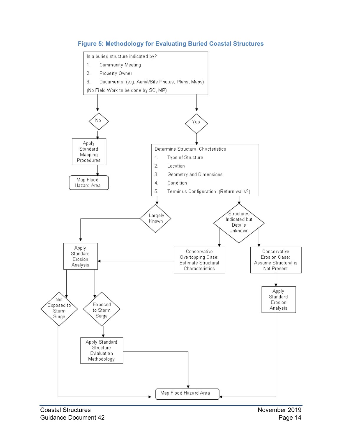<span id="page-17-1"></span><span id="page-17-0"></span>

**Figure 5: Methodology for Evaluating Buried Coastal Structures**

Coastal Structures **November 2019** Guidance Document 42 **Page 14** Page 14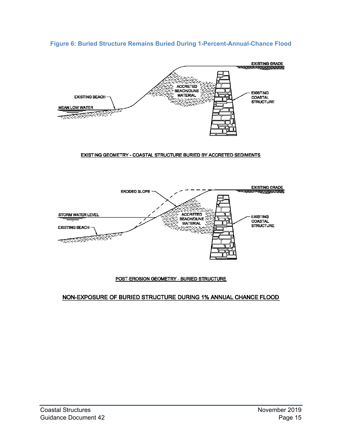<span id="page-18-1"></span><span id="page-18-0"></span>



#### EXISTING GEOMETRY - COASTAL STRUCTURE BURIED BY ACCRETED SEDIMENTS



#### POST-EROSION GEOMETRY - BURIED STRUCTURE

#### NON-EXPOSURE OF BURIED STRUCTURE DURING 1% ANNUAL CHANCE FLOOD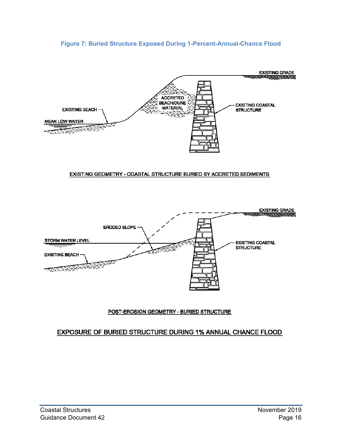#### <span id="page-19-1"></span>**Figure 7: Buried Structure Exposed During 1-Percent-Annual-Chance Flood**

<span id="page-19-0"></span>

#### EXISTING GEOMETRY - COASTAL STRUCTURE BURIED BY ACCRETED SEDIMENTS



#### POST-EROSION GEOMETRY - BURIED STRUCTURE

#### EXPOSURE OF BURIED STRUCTURE DURING 1% ANNUAL CHANCE FLOOD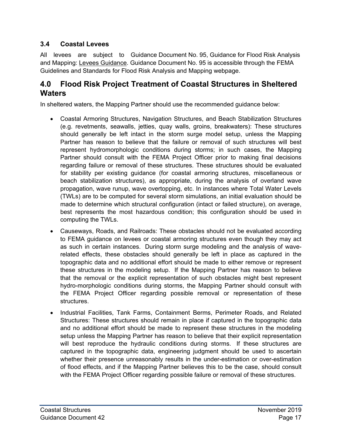# <span id="page-20-0"></span>**3.4 Coastal Levees**

All levees are subject to Guidance Document No. 95, Guidance for Flood Risk Analysis and Mapping: Levees Guidance. Guidance Document No. 95 is accessible through the FEMA Guidelines and Standards for Flood Risk Analysis and Mapping webpage.

# **4.0 Flood Risk Project Treatment of Coastal Structures in Sheltered Waters**

In sheltered waters, the Mapping Partner should use the recommended guidance below:

- Coastal Armoring Structures, Navigation Structures, and Beach Stabilization Structures (e.g. revetments, seawalls, jetties, quay walls, groins, breakwaters): These structures should generally be left intact in the storm surge model setup, unless the Mapping Partner has reason to believe that the failure or removal of such structures will best represent hydromorphologic conditions during storms; in such cases, the Mapping Partner should consult with the FEMA Project Officer prior to making final decisions regarding failure or removal of these structures. These structures should be evaluated for stability per existing guidance (for coastal armoring structures, miscellaneous or beach stabilization structures), as appropriate, during the analysis of overland wave propagation, wave runup, wave overtopping, etc. In instances where Total Water Levels (TWLs) are to be computed for several storm simulations, an initial evaluation should be made to determine which structural configuration (intact or failed structure), on average, best represents the most hazardous condition; this configuration should be used in computing the TWLs.
- Causeways, Roads, and Railroads: These obstacles should not be evaluated according to FEMA guidance on levees or coastal armoring structures even though they may act as such in certain instances. During storm surge modeling and the analysis of waverelated effects, these obstacles should generally be left in place as captured in the topographic data and no additional effort should be made to either remove or represent these structures in the modeling setup. If the Mapping Partner has reason to believe that the removal or the explicit representation of such obstacles might best represent hydro-morphologic conditions during storms, the Mapping Partner should consult with the FEMA Project Officer regarding possible removal or representation of these structures.
- Industrial Facilities, Tank Farms, Containment Berms, Perimeter Roads, and Related Structures: These structures should remain in place if captured in the topographic data and no additional effort should be made to represent these structures in the modeling setup unless the Mapping Partner has reason to believe that their explicit representation will best reproduce the hydraulic conditions during storms. If these structures are captured in the topographic data, engineering judgment should be used to ascertain whether their presence unreasonably results in the under-estimation or over-estimation of flood effects, and if the Mapping Partner believes this to be the case, should consult with the FEMA Project Officer regarding possible failure or removal of these structures.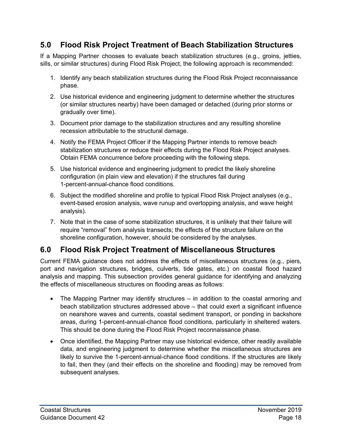# <span id="page-21-0"></span>**5.0 Flood Risk Project Treatment of Beach Stabilization Structures**

If a Mapping Partner chooses to evaluate beach stabilization structures (e.g., groins, jetties, sills, or similar structures) during Flood Risk Project, the following approach is recommended:

- 1. Identify any beach stabilization structures during the Flood Risk Project reconnaissance phase.
- 2. Use historical evidence and engineering judgment to determine whether the structures (or similar structures nearby) have been damaged or detached (during prior storms or gradually over time).
- 3. Document prior damage to the stabilization structures and any resulting shoreline recession attributable to the structural damage.
- 4. Notify the FEMA Project Officer if the Mapping Partner intends to remove beach stabilization structures or reduce their effects during the Flood Risk Project analyses. Obtain FEMA concurrence before proceeding with the following steps.
- 5. Use historical evidence and engineering judgment to predict the likely shoreline configuration (in plain view and elevation) if the structures fail during 1-percent-annual-chance flood conditions.
- 6. Subject the modified shoreline and profile to typical Flood Risk Project analyses (e.g., event-based erosion analysis, wave runup and overtopping analysis, and wave height analysis).
- 7. Note that in the case of some stabilization structures, it is unlikely that their failure will require "removal" from analysis transects; the effects of the structure failure on the shoreline configuration, however, should be considered by the analyses.

# **6.0 Flood Risk Project Treatment of Miscellaneous Structures**

Current FEMA guidance does not address the effects of miscellaneous structures (e.g., piers, port and navigation structures, bridges, culverts, tide gates, etc.) on coastal flood hazard analysis and mapping. This subsection provides general guidance for identifying and analyzing the effects of miscellaneous structures on flooding areas as follows:

- The Mapping Partner may identify structures in addition to the coastal armoring and beach stabilization structures addressed above – that could exert a significant influence on nearshore waves and currents, coastal sediment transport, or ponding in backshore areas, during 1-percent-annual-chance flood conditions, particularly in sheltered waters. This should be done during the Flood Risk Project reconnaissance phase.
- Once identified, the Mapping Partner may use historical evidence, other readily available data, and engineering judgment to determine whether the miscellaneous structures are likely to survive the 1-percent-annual-chance flood conditions. If the structures are likely to fail, then they (and their effects on the shoreline and flooding) may be removed from subsequent analyses.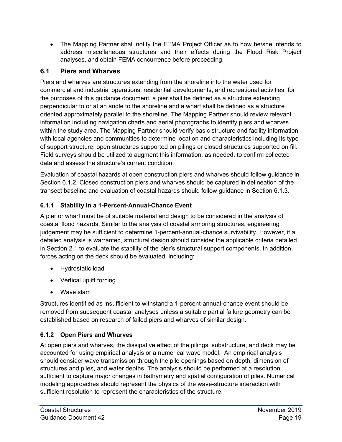<span id="page-22-0"></span>• The Mapping Partner shall notify the FEMA Project Officer as to how he/she intends to address miscellaneous structures and their effects during the Flood Risk Project analyses, and obtain FEMA concurrence before proceeding.

# **6.1 Piers and Wharves**

Piers and wharves are structures extending from the shoreline into the water used for commercial and industrial operations, residential developments, and recreational activities; for the purposes of this guidance document, a pier shall be defined as a structure extending perpendicular to or at an angle to the shoreline and a wharf shall be defined as a structure oriented approximately parallel to the shoreline. The Mapping Partner should review relevant information including navigation charts and aerial photographs to identify piers and wharves within the study area. The Mapping Partner should verify basic structure and facility information with local agencies and communities to determine location and characteristics including its type of support structure: open structures supported on pilings or closed structures supported on fill. Field surveys should be utilized to augment this information, as needed, to confirm collected data and assess the structure's current condition.

Evaluation of coastal hazards at open construction piers and wharves should follow guidance in Section 6.1.2. Closed construction piers and wharves should be captured in delineation of the transect baseline and evaluation of coastal hazards should follow guidance in Section 6.1.3.

# **6.1.1 Stability in a 1-Percent-Annual-Chance Event**

A pier or wharf must be of suitable material and design to be considered in the analysis of coastal flood hazards. Similar to the analysis of coastal armoring structures, engineering judgement may be sufficient to determine 1-percent-annual-chance survivability. However, if a detailed analysis is warranted, structural design should consider the applicable criteria detailed in Section 2.1 to evaluate the stability of the pier's structural support components. In addition, forces acting on the deck should be evaluated, including:

- Hydrostatic load
- Vertical uplift forcing
- Wave slam

Structures identified as insufficient to withstand a 1-percent-annual-chance event should be removed from subsequent coastal analyses unless a suitable partial failure geometry can be established based on research of failed piers and wharves of similar design.

# **6.1.2 Open Piers and Wharves**

At open piers and wharves, the dissipative effect of the pilings, substructure, and deck may be accounted for using empirical analysis or a numerical wave model. An empirical analysis should consider wave transmission through the pile openings based on depth, dimension of structures and piles, and water depths. The analysis should be performed at a resolution sufficient to capture major changes in bathymetry and spatial configuration of piles. Numerical modeling approaches should represent the physics of the wave-structure interaction with sufficient resolution to represent the characteristics of the structure.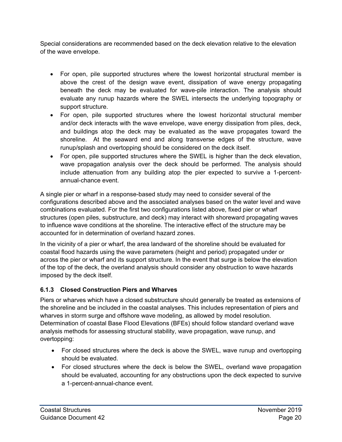Special considerations are recommended based on the deck elevation relative to the elevation of the wave envelope.

- For open, pile supported structures where the lowest horizontal structural member is above the crest of the design wave event, dissipation of wave energy propagating beneath the deck may be evaluated for wave-pile interaction. The analysis should evaluate any runup hazards where the SWEL intersects the underlying topography or support structure.
- For open, pile supported structures where the lowest horizontal structural member and/or deck interacts with the wave envelope, wave energy dissipation from piles, deck, and buildings atop the deck may be evaluated as the wave propagates toward the shoreline. At the seaward end and along transverse edges of the structure, wave runup/splash and overtopping should be considered on the deck itself.
- For open, pile supported structures where the SWEL is higher than the deck elevation, wave propagation analysis over the deck should be performed. The analysis should include attenuation from any building atop the pier expected to survive a 1-percentannual-chance event.

A single pier or wharf in a response-based study may need to consider several of the configurations described above and the associated analyses based on the water level and wave combinations evaluated. For the first two configurations listed above, fixed pier or wharf structures (open piles, substructure, and deck) may interact with shoreward propagating waves to influence wave conditions at the shoreline. The interactive effect of the structure may be accounted for in determination of overland hazard zones.

In the vicinity of a pier or wharf, the area landward of the shoreline should be evaluated for coastal flood hazards using the wave parameters (height and period) propagated under or across the pier or wharf and its support structure. In the event that surge is below the elevation of the top of the deck, the overland analysis should consider any obstruction to wave hazards imposed by the deck itself.

## **6.1.3 Closed Construction Piers and Wharves**

Piers or wharves which have a closed substructure should generally be treated as extensions of the shoreline and be included in the coastal analyses. This includes representation of piers and wharves in storm surge and offshore wave modeling, as allowed by model resolution. Determination of coastal Base Flood Elevations (BFEs) should follow standard overland wave analysis methods for assessing structural stability, wave propagation, wave runup, and overtopping:

- For closed structures where the deck is above the SWEL, wave runup and overtopping should be evaluated.
- For closed structures where the deck is below the SWEL, overland wave propagation should be evaluated, accounting for any obstructions upon the deck expected to survive a 1-percent-annual-chance event.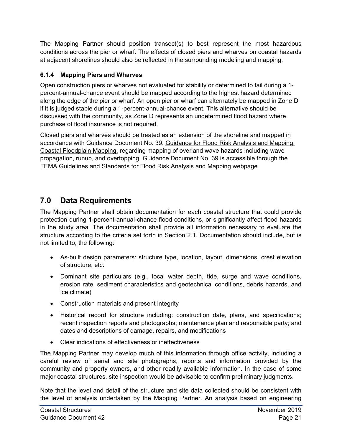<span id="page-24-0"></span>The Mapping Partner should position transect(s) to best represent the most hazardous conditions across the pier or wharf. The effects of closed piers and wharves on coastal hazards at adjacent shorelines should also be reflected in the surrounding modeling and mapping.

# **6.1.4 Mapping Piers and Wharves**

Open construction piers or wharves not evaluated for stability or determined to fail during a 1 percent-annual-chance event should be mapped according to the highest hazard determined along the edge of the pier or wharf. An open pier or wharf can alternately be mapped in Zone D if it is judged stable during a 1-percent-annual-chance event. This alternative should be discussed with the community, as Zone D represents an undetermined flood hazard where purchase of flood insurance is not required.

Closed piers and wharves should be treated as an extension of the shoreline and mapped in accordance with Guidance Document No. 39, Guidance for Flood Risk Analysis and Mapping: Coastal Floodplain Mapping, regarding mapping of overland wave hazards including wave propagation, runup, and overtopping. Guidance Document No. 39 is accessible through the FEMA Guidelines and Standards for Flood Risk Analysis and Mapping webpage.

# **7.0 Data Requirements**

The Mapping Partner shall obtain documentation for each coastal structure that could provide protection during 1-percent-annual-chance flood conditions, or significantly affect flood hazards in the study area. The documentation shall provide all information necessary to evaluate the structure according to the criteria set forth in Section 2.1. Documentation should include, but is not limited to, the following:

- As-built design parameters: structure type, location, layout, dimensions, crest elevation of structure, etc.
- Dominant site particulars (e.g., local water depth, tide, surge and wave conditions, erosion rate, sediment characteristics and geotechnical conditions, debris hazards, and ice climate)
- Construction materials and present integrity
- Historical record for structure including: construction date, plans, and specifications; recent inspection reports and photographs; maintenance plan and responsible party; and dates and descriptions of damage, repairs, and modifications
- Clear indications of effectiveness or ineffectiveness

The Mapping Partner may develop much of this information through office activity, including a careful review of aerial and site photographs, reports and information provided by the community and property owners, and other readily available information. In the case of some major coastal structures, site inspection would be advisable to confirm preliminary judgments.

Note that the level and detail of the structure and site data collected should be consistent with the level of analysis undertaken by the Mapping Partner. An analysis based on engineering